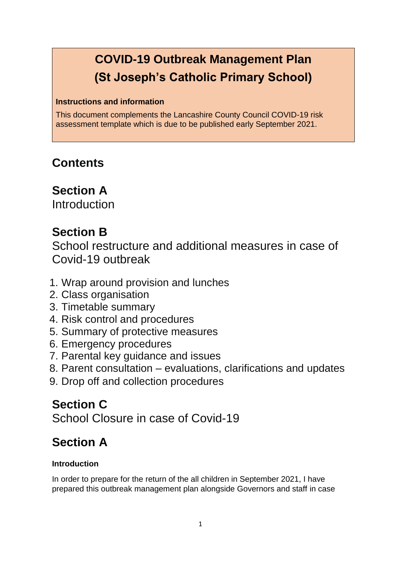# **COVID-19 Outbreak Management Plan (St Joseph's Catholic Primary School)**

#### **Instructions and information**

This document complements the Lancashire County Council COVID-19 risk assessment template which is due to be published early September 2021.

# **Contents**

## **Section A**

Introduction

# **Section B**

School restructure and additional measures in case of Covid-19 outbreak

- 1. Wrap around provision and lunches
- 2. Class organisation
- 3. Timetable summary
- 4. Risk control and procedures
- 5. Summary of protective measures
- 6. Emergency procedures
- 7. Parental key guidance and issues
- 8. Parent consultation evaluations, clarifications and updates
- 9. Drop off and collection procedures

# **Section C**

School Closure in case of Covid-19

# **Section A**

### **Introduction**

In order to prepare for the return of the all children in September 2021, I have prepared this outbreak management plan alongside Governors and staff in case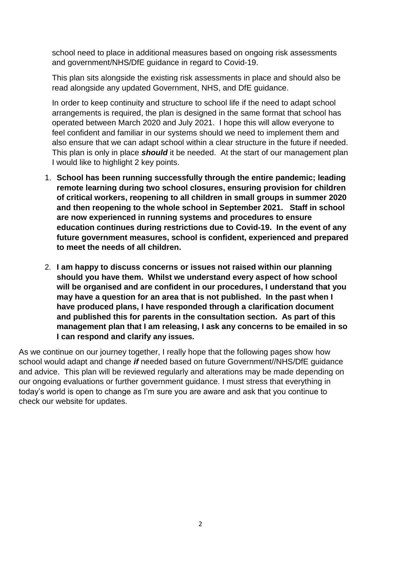school need to place in additional measures based on ongoing risk assessments and government/NHS/DfE guidance in regard to Covid-19.

This plan sits alongside the existing risk assessments in place and should also be read alongside any updated Government, NHS, and DfE guidance.

In order to keep continuity and structure to school life if the need to adapt school arrangements is required, the plan is designed in the same format that school has operated between March 2020 and July 2021. I hope this will allow everyone to feel confident and familiar in our systems should we need to implement them and also ensure that we can adapt school within a clear structure in the future if needed. This plan is only in place *should* it be needed. At the start of our management plan I would like to highlight 2 key points.

- 1. **School has been running successfully through the entire pandemic; leading remote learning during two school closures, ensuring provision for children of critical workers, reopening to all children in small groups in summer 2020 and then reopening to the whole school in September 2021. Staff in school are now experienced in running systems and procedures to ensure education continues during restrictions due to Covid-19. In the event of any future government measures, school is confident, experienced and prepared to meet the needs of all children.**
- 2. **I am happy to discuss concerns or issues not raised within our planning should you have them. Whilst we understand every aspect of how school will be organised and are confident in our procedures, I understand that you may have a question for an area that is not published. In the past when I have produced plans, I have responded through a clarification document and published this for parents in the consultation section. As part of this management plan that I am releasing, I ask any concerns to be emailed in so I can respond and clarify any issues.**

As we continue on our journey together, I really hope that the following pages show how school would adapt and change *if* needed based on future Government//NHS/DfE guidance and advice. This plan will be reviewed regularly and alterations may be made depending on our ongoing evaluations or further government guidance. I must stress that everything in today's world is open to change as I'm sure you are aware and ask that you continue to check our website for updates.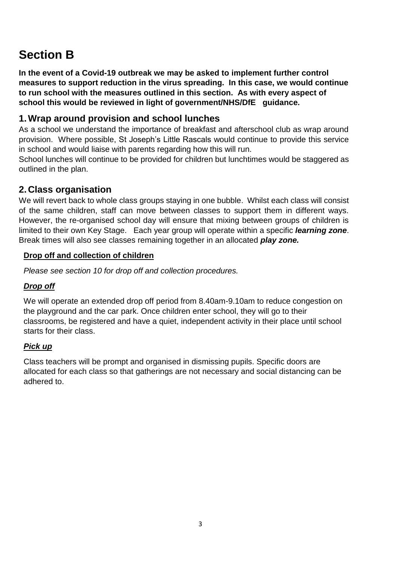# **Section B**

**In the event of a Covid-19 outbreak we may be asked to implement further control measures to support reduction in the virus spreading. In this case, we would continue to run school with the measures outlined in this section. As with every aspect of school this would be reviewed in light of government/NHS/DfE guidance.** 

## **1.Wrap around provision and school lunches**

As a school we understand the importance of breakfast and afterschool club as wrap around provision. Where possible, St Joseph's Little Rascals would continue to provide this service in school and would liaise with parents regarding how this will run.

School lunches will continue to be provided for children but lunchtimes would be staggered as outlined in the plan.

## **2.Class organisation**

We will revert back to whole class groups staying in one bubble. Whilst each class will consist of the same children, staff can move between classes to support them in different ways. However, the re-organised school day will ensure that mixing between groups of children is limited to their own Key Stage. Each year group will operate within a specific *learning zone*. Break times will also see classes remaining together in an allocated *play zone.* 

#### **Drop off and collection of children**

*Please see section 10 for drop off and collection procedures.* 

#### *Drop off*

We will operate an extended drop off period from 8.40am-9.10am to reduce congestion on the playground and the car park. Once children enter school, they will go to their classrooms, be registered and have a quiet, independent activity in their place until school starts for their class.

#### *Pick up*

Class teachers will be prompt and organised in dismissing pupils. Specific doors are allocated for each class so that gatherings are not necessary and social distancing can be adhered to.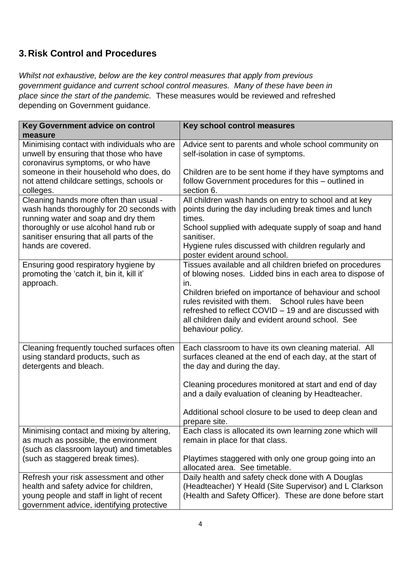## **3.Risk Control and Procedures**

*Whilst not exhaustive, below are the key control measures that apply from previous government guidance and current school control measures. Many of these have been in place since the start of the pandemic.* These measures would be reviewed and refreshed depending on Government guidance.

| Key Government advice on control                                                                                                                                           | Key school control measures                                                                                                                                                           |
|----------------------------------------------------------------------------------------------------------------------------------------------------------------------------|---------------------------------------------------------------------------------------------------------------------------------------------------------------------------------------|
| measure                                                                                                                                                                    |                                                                                                                                                                                       |
| Minimising contact with individuals who are<br>unwell by ensuring that those who have<br>coronavirus symptoms, or who have                                                 | Advice sent to parents and whole school community on<br>self-isolation in case of symptoms.                                                                                           |
| someone in their household who does, do<br>not attend childcare settings, schools or<br>colleges.                                                                          | Children are to be sent home if they have symptoms and<br>follow Government procedures for this - outlined in<br>section 6.                                                           |
| Cleaning hands more often than usual -<br>wash hands thoroughly for 20 seconds with<br>running water and soap and dry them                                                 | All children wash hands on entry to school and at key<br>points during the day including break times and lunch<br>times.                                                              |
| thoroughly or use alcohol hand rub or<br>sanitiser ensuring that all parts of the                                                                                          | School supplied with adequate supply of soap and hand<br>sanitiser.                                                                                                                   |
| hands are covered.                                                                                                                                                         | Hygiene rules discussed with children regularly and<br>poster evident around school.                                                                                                  |
| Ensuring good respiratory hygiene by<br>promoting the 'catch it, bin it, kill it'<br>approach.                                                                             | Tissues available and all children briefed on procedures<br>of blowing noses. Lidded bins in each area to dispose of<br>in.<br>Children briefed on importance of behaviour and school |
|                                                                                                                                                                            | School rules have been<br>rules revisited with them.<br>refreshed to reflect COVID - 19 and are discussed with<br>all children daily and evident around school. See                   |
|                                                                                                                                                                            | behaviour policy.                                                                                                                                                                     |
| Cleaning frequently touched surfaces often<br>using standard products, such as<br>detergents and bleach.                                                                   | Each classroom to have its own cleaning material. All<br>surfaces cleaned at the end of each day, at the start of<br>the day and during the day.                                      |
|                                                                                                                                                                            | Cleaning procedures monitored at start and end of day<br>and a daily evaluation of cleaning by Headteacher.                                                                           |
|                                                                                                                                                                            | Additional school closure to be used to deep clean and<br>prepare site.                                                                                                               |
| Minimising contact and mixing by altering,<br>as much as possible, the environment<br>(such as classroom layout) and timetables                                            | Each class is allocated its own learning zone which will<br>remain in place for that class.                                                                                           |
| (such as staggered break times).                                                                                                                                           | Playtimes staggered with only one group going into an<br>allocated area. See timetable.                                                                                               |
| Refresh your risk assessment and other<br>health and safety advice for children,<br>young people and staff in light of recent<br>government advice, identifying protective | Daily health and safety check done with A Douglas<br>(Headteacher) Y Heald (Site Supervisor) and L Clarkson<br>(Health and Safety Officer). These are done before start               |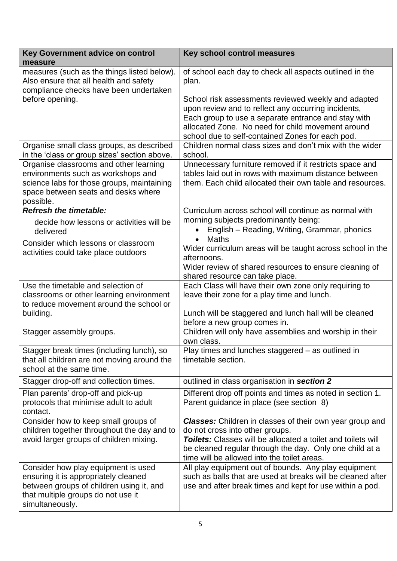| Key Government advice on control<br>measure                                                                                                                                      | Key school control measures                                                                                                                                                                                                                                                         |
|----------------------------------------------------------------------------------------------------------------------------------------------------------------------------------|-------------------------------------------------------------------------------------------------------------------------------------------------------------------------------------------------------------------------------------------------------------------------------------|
| measures (such as the things listed below).<br>Also ensure that all health and safety<br>compliance checks have been undertaken                                                  | of school each day to check all aspects outlined in the<br>plan.                                                                                                                                                                                                                    |
| before opening.                                                                                                                                                                  | School risk assessments reviewed weekly and adapted<br>upon review and to reflect any occurring incidents,<br>Each group to use a separate entrance and stay with<br>allocated Zone. No need for child movement around<br>school due to self-contained Zones for each pod.          |
| Organise small class groups, as described<br>in the 'class or group sizes' section above.                                                                                        | Children normal class sizes and don't mix with the wider<br>school.                                                                                                                                                                                                                 |
| Organise classrooms and other learning<br>environments such as workshops and<br>science labs for those groups, maintaining<br>space between seats and desks where<br>possible.   | Unnecessary furniture removed if it restricts space and<br>tables laid out in rows with maximum distance between<br>them. Each child allocated their own table and resources.                                                                                                       |
| <b>Refresh the timetable:</b>                                                                                                                                                    | Curriculum across school will continue as normal with                                                                                                                                                                                                                               |
| decide how lessons or activities will be<br>delivered                                                                                                                            | morning subjects predominantly being:<br>English – Reading, Writing, Grammar, phonics<br>$\bullet$<br><b>Maths</b><br>$\bullet$                                                                                                                                                     |
| Consider which lessons or classroom<br>activities could take place outdoors                                                                                                      | Wider curriculum areas will be taught across school in the<br>afternoons.<br>Wider review of shared resources to ensure cleaning of<br>shared resource can take place.                                                                                                              |
| Use the timetable and selection of<br>classrooms or other learning environment<br>to reduce movement around the school or<br>building.                                           | Each Class will have their own zone only requiring to<br>leave their zone for a play time and lunch.<br>Lunch will be staggered and lunch hall will be cleaned                                                                                                                      |
|                                                                                                                                                                                  | before a new group comes in.                                                                                                                                                                                                                                                        |
| Stagger assembly groups.                                                                                                                                                         | Children will only have assemblies and worship in their<br>own class.                                                                                                                                                                                                               |
| Stagger break times (including lunch), so<br>that all children are not moving around the<br>school at the same time.                                                             | Play times and lunches staggered - as outlined in<br>timetable section.                                                                                                                                                                                                             |
| Stagger drop-off and collection times.                                                                                                                                           | outlined in class organisation in section 2                                                                                                                                                                                                                                         |
| Plan parents' drop-off and pick-up<br>protocols that minimise adult to adult<br>contact.                                                                                         | Different drop off points and times as noted in section 1.<br>Parent guidance in place (see section 8)                                                                                                                                                                              |
| Consider how to keep small groups of<br>children together throughout the day and to<br>avoid larger groups of children mixing.                                                   | <b>Classes:</b> Children in classes of their own year group and<br>do not cross into other groups.<br><b>Toilets:</b> Classes will be allocated a toilet and toilets will<br>be cleaned regular through the day. Only one child at a<br>time will be allowed into the toilet areas. |
| Consider how play equipment is used<br>ensuring it is appropriately cleaned<br>between groups of children using it, and<br>that multiple groups do not use it<br>simultaneously. | All play equipment out of bounds. Any play equipment<br>such as balls that are used at breaks will be cleaned after<br>use and after break times and kept for use within a pod.                                                                                                     |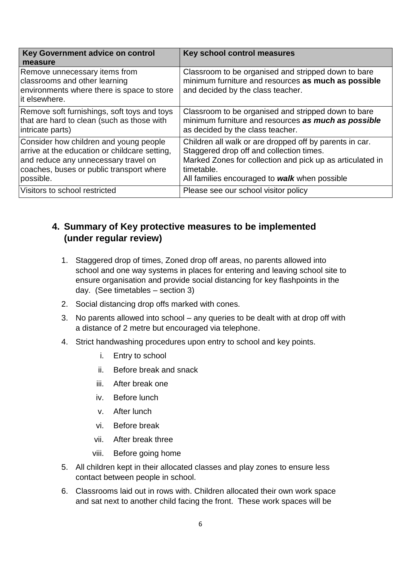| Key Government advice on control<br>measure                                                                                                                                              | Key school control measures                                                                                                                                                                                                     |
|------------------------------------------------------------------------------------------------------------------------------------------------------------------------------------------|---------------------------------------------------------------------------------------------------------------------------------------------------------------------------------------------------------------------------------|
| Remove unnecessary items from<br>classrooms and other learning<br>environments where there is space to store<br>lit elsewhere.                                                           | Classroom to be organised and stripped down to bare<br>minimum furniture and resources as much as possible<br>and decided by the class teacher.                                                                                 |
| Remove soft furnishings, soft toys and toys<br>that are hard to clean (such as those with<br>intricate parts)                                                                            | Classroom to be organised and stripped down to bare<br>minimum furniture and resources as much as possible<br>as decided by the class teacher.                                                                                  |
| Consider how children and young people<br>arrive at the education or childcare setting,<br>and reduce any unnecessary travel on<br>coaches, buses or public transport where<br>possible. | Children all walk or are dropped off by parents in car.<br>Staggered drop off and collection times.<br>Marked Zones for collection and pick up as articulated in<br>timetable.<br>All families encouraged to walk when possible |
| Visitors to school restricted                                                                                                                                                            | Please see our school visitor policy                                                                                                                                                                                            |

## **4. Summary of Key protective measures to be implemented (under regular review)**

- 1. Staggered drop of times, Zoned drop off areas, no parents allowed into school and one way systems in places for entering and leaving school site to ensure organisation and provide social distancing for key flashpoints in the day. (See timetables – section 3)
- 2. Social distancing drop offs marked with cones.
- 3. No parents allowed into school any queries to be dealt with at drop off with a distance of 2 metre but encouraged via telephone.
- 4. Strict handwashing procedures upon entry to school and key points.
	- i. Entry to school
	- ii. Before break and snack
	- iii. After break one
	- iv. Before lunch
	- v. After lunch
	- vi. Before break
	- vii. After break three
	- viii. Before going home
- 5. All children kept in their allocated classes and play zones to ensure less contact between people in school.
- 6. Classrooms laid out in rows with. Children allocated their own work space and sat next to another child facing the front. These work spaces will be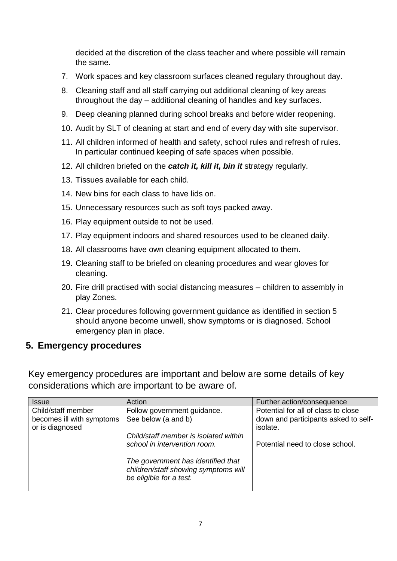decided at the discretion of the class teacher and where possible will remain the same.

- 7. Work spaces and key classroom surfaces cleaned regulary throughout day.
- 8. Cleaning staff and all staff carrying out additional cleaning of key areas throughout the day – additional cleaning of handles and key surfaces.
- 9. Deep cleaning planned during school breaks and before wider reopening.
- 10. Audit by SLT of cleaning at start and end of every day with site supervisor.
- 11. All children informed of health and safety, school rules and refresh of rules. In particular continued keeping of safe spaces when possible.
- 12. All children briefed on the *catch it, kill it, bin it* strategy regularly.
- 13. Tissues available for each child.
- 14. New bins for each class to have lids on.
- 15. Unnecessary resources such as soft toys packed away.
- 16. Play equipment outside to not be used.
- 17. Play equipment indoors and shared resources used to be cleaned daily.
- 18. All classrooms have own cleaning equipment allocated to them.
- 19. Cleaning staff to be briefed on cleaning procedures and wear gloves for cleaning.
- 20. Fire drill practised with social distancing measures children to assembly in play Zones.
- 21. Clear procedures following government guidance as identified in section 5 should anyone become unwell, show symptoms or is diagnosed. School emergency plan in place.

#### **5. Emergency procedures**

Key emergency procedures are important and below are some details of key considerations which are important to be aware of.

| <b>Issue</b>                                 | Action                                                                                                | Further action/consequence                       |
|----------------------------------------------|-------------------------------------------------------------------------------------------------------|--------------------------------------------------|
| Child/staff member                           | Follow government guidance.                                                                           | Potential for all of class to close              |
| becomes ill with symptoms<br>or is diagnosed | See below (a and b)                                                                                   | down and participants asked to self-<br>isolate. |
|                                              | Child/staff member is isolated within                                                                 |                                                  |
|                                              | school in intervention room.                                                                          | Potential need to close school.                  |
|                                              | The government has identified that<br>children/staff showing symptoms will<br>be eligible for a test. |                                                  |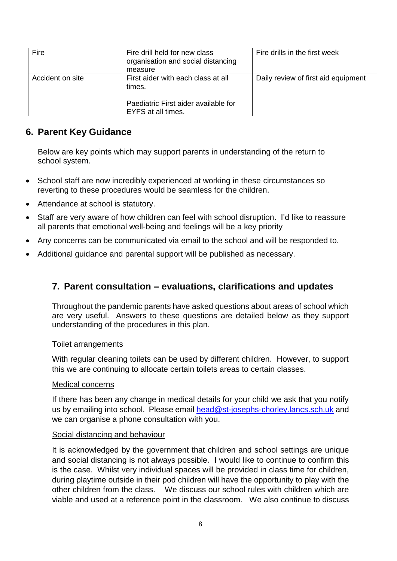| organisation and social distancing |                                                                                                                       |
|------------------------------------|-----------------------------------------------------------------------------------------------------------------------|
|                                    | Daily review of first aid equipment                                                                                   |
|                                    | measure<br>First aider with each class at all<br>times.<br>Paediatric First aider available for<br>EYFS at all times. |

## **6. Parent Key Guidance**

Below are key points which may support parents in understanding of the return to school system.

- School staff are now incredibly experienced at working in these circumstances so reverting to these procedures would be seamless for the children.
- Attendance at school is statutory.
- Staff are very aware of how children can feel with school disruption. I'd like to reassure all parents that emotional well-being and feelings will be a key priority
- Any concerns can be communicated via email to the school and will be responded to.
- Additional guidance and parental support will be published as necessary.

### **7. Parent consultation – evaluations, clarifications and updates**

Throughout the pandemic parents have asked questions about areas of school which are very useful. Answers to these questions are detailed below as they support understanding of the procedures in this plan.

#### Toilet arrangements

With regular cleaning toilets can be used by different children. However, to support this we are continuing to allocate certain toilets areas to certain classes.

#### Medical concerns

If there has been any change in medical details for your child we ask that you notify us by emailing into school. Please email [head@st-josephs-chorley.lancs.sch.uk](mailto:head@st-josephs-chorley.lancs.sch.uk) and we can organise a phone consultation with you.

#### Social distancing and behaviour

It is acknowledged by the government that children and school settings are unique and social distancing is not always possible. I would like to continue to confirm this is the case. Whilst very individual spaces will be provided in class time for children, during playtime outside in their pod children will have the opportunity to play with the other children from the class. We discuss our school rules with children which are viable and used at a reference point in the classroom. We also continue to discuss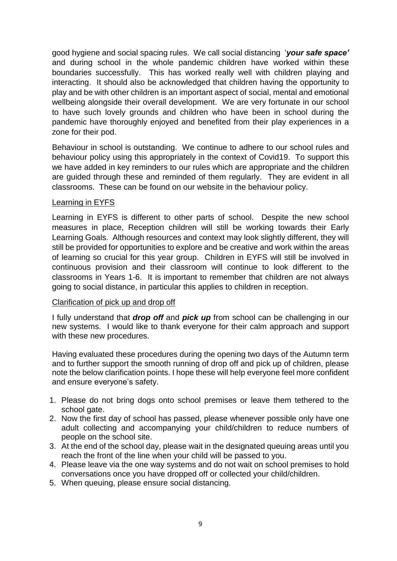good hygiene and social spacing rules. We call social distancing '*your safe space'* and during school in the whole pandemic children have worked within these boundaries successfully. This has worked really well with children playing and interacting. It should also be acknowledged that children having the opportunity to play and be with other children is an important aspect of social, mental and emotional wellbeing alongside their overall development. We are very fortunate in our school to have such lovely grounds and children who have been in school during the pandemic have thoroughly enjoyed and benefited from their play experiences in a zone for their pod.

Behaviour in school is outstanding. We continue to adhere to our school rules and behaviour policy using this appropriately in the context of Covid19. To support this we have added in key reminders to our rules which are appropriate and the children are guided through these and reminded of them regularly. They are evident in all classrooms. These can be found on our website in the behaviour policy.

#### Learning in EYFS

Learning in EYFS is different to other parts of school. Despite the new school measures in place, Reception children will still be working towards their Early Learning Goals. Although resources and context may look slightly different, they will still be provided for opportunities to explore and be creative and work within the areas of learning so crucial for this year group. Children in EYFS will still be involved in continuous provision and their classroom will continue to look different to the classrooms in Years 1-6. It is important to remember that children are not always going to social distance, in particular this applies to children in reception.

#### Clarification of pick up and drop off

I fully understand that *drop off* and *pick up* from school can be challenging in our new systems. I would like to thank everyone for their calm approach and support with these new procedures.

Having evaluated these procedures during the opening two days of the Autumn term and to further support the smooth running of drop off and pick up of children, please note the below clarification points. I hope these will help everyone feel more confident and ensure everyone's safety.

- 1. Please do not bring dogs onto school premises or leave them tethered to the school gate.
- 2. Now the first day of school has passed, please whenever possible only have one adult collecting and accompanying your child/children to reduce numbers of people on the school site.
- 3. At the end of the school day, please wait in the designated queuing areas until you reach the front of the line when your child will be passed to you.
- 4. Please leave via the one way systems and do not wait on school premises to hold conversations once you have dropped off or collected your child/children.
- 5. When queuing, please ensure social distancing.